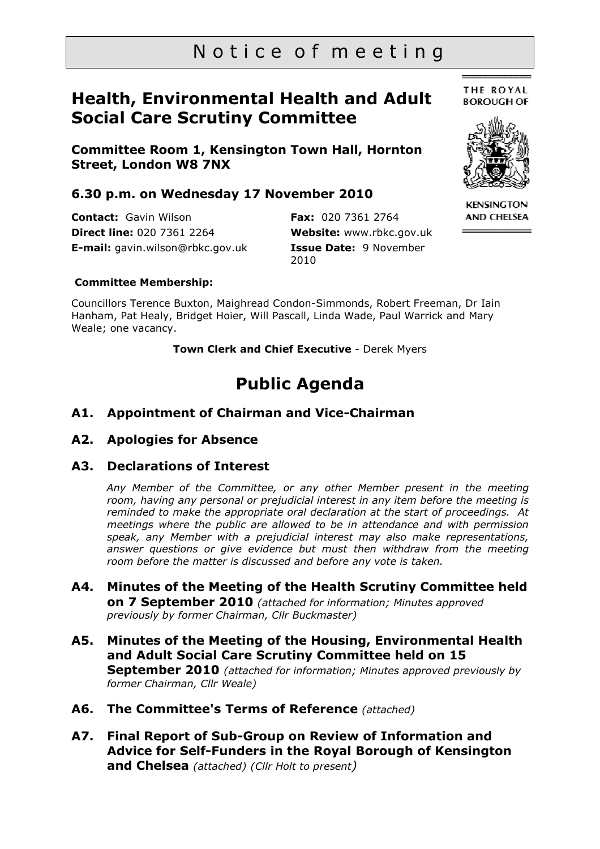# Notice of meeting

# **Health, Environmental Health and Adult Social Care Scrutiny Committee**

**Committee Room 1, Kensington Town Hall, Hornton Street, London W8 7NX** 

### **6.30 p.m. on Wednesday 17 November 2010**

**Contact:** Gavin Wilson **Direct line:** 020 7361 2264 **E-mail:** gavin.wilson@rbkc.gov.uk

**Fax:** 020 7361 2764 **Website:** www.rbkc.gov.uk **Issue Date:** 9 November 2010

**THE ROYAL BOROUGH OF** 



**KENSINGTON AND CHELSEA** 

#### **Committee Membership:**

Councillors Terence Buxton, Maighread Condon-Simmonds, Robert Freeman, Dr Iain Hanham, Pat Healy, Bridget Hoier, Will Pascall, Linda Wade, Paul Warrick and Mary Weale; one vacancy.

**Town Clerk and Chief Executive** - Derek Myers

# **Public Agenda**

### **A1. Appointment of Chairman and Vice-Chairman**

#### **A2. Apologies for Absence**

#### **A3. Declarations of Interest**

*Any Member of the Committee, or any other Member present in the meeting room, having any personal or prejudicial interest in any item before the meeting is reminded to make the appropriate oral declaration at the start of proceedings. At meetings where the public are allowed to be in attendance and with permission speak, any Member with a prejudicial interest may also make representations,*  answer questions or give evidence but must then withdraw from the meeting *room before the matter is discussed and before any vote is taken.* 

- **A4. Minutes of the Meeting of the Health Scrutiny Committee held on 7 September 2010** *(attached for information; Minutes approved previously by former Chairman, Cllr Buckmaster)*
- **A5. Minutes of the Meeting of the Housing, Environmental Health and Adult Social Care Scrutiny Committee held on 15 September 2010** *(attached for information; Minutes approved previously by former Chairman, Cllr Weale)*
- **A6. The Committee's Terms of Reference** *(attached)*
- **A7. Final Report of Sub-Group on Review of Information and Advice for Self-Funders in the Royal Borough of Kensington and Chelsea** *(attached) (Cllr Holt to present)*